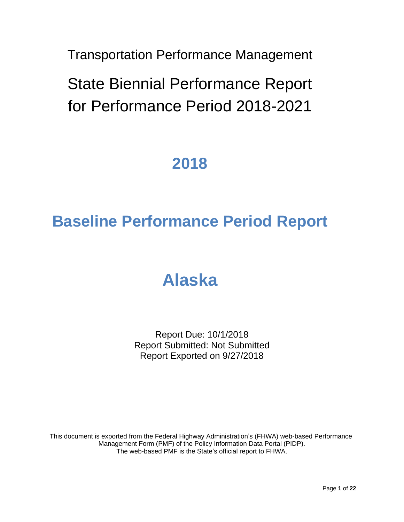Transportation Performance Management

State Biennial Performance Report for Performance Period 2018-2021

## **2018**

# **Baseline Performance Period Report**

# **Alaska**

Report Due: 10/1/2018 Report Submitted: Not Submitted Report Exported on 9/27/2018

This document is exported from the Federal Highway Administration's (FHWA) web-based Performance Management Form (PMF) of the Policy Information Data Portal (PIDP). The web-based PMF is the State's official report to FHWA.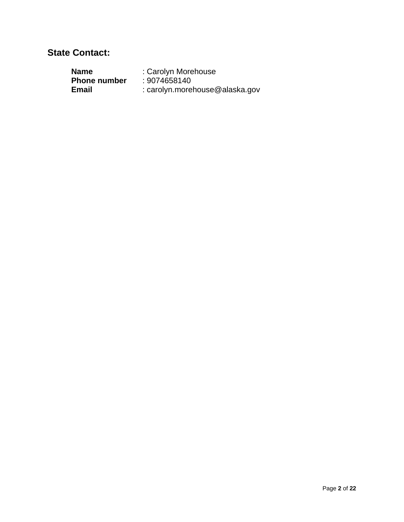#### **State Contact:**

| Name                | : Carolyn Morehouse            |
|---------------------|--------------------------------|
| <b>Phone number</b> | : 9074658140                   |
| Email               | : carolyn.morehouse@alaska.gov |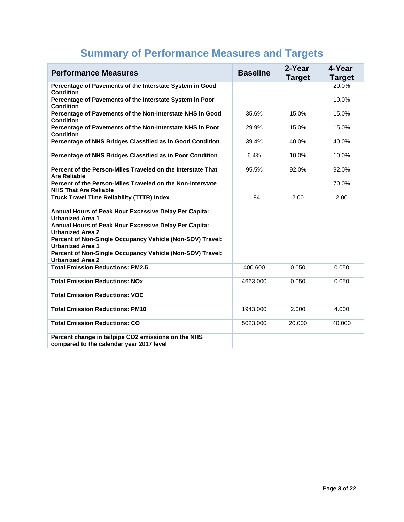| <b>Performance Measures</b>                                                                     | <b>Baseline</b> | 2-Year<br><b>Target</b> | 4-Year<br><b>Target</b> |
|-------------------------------------------------------------------------------------------------|-----------------|-------------------------|-------------------------|
| Percentage of Pavements of the Interstate System in Good<br><b>Condition</b>                    |                 |                         | 20.0%                   |
| Percentage of Pavements of the Interstate System in Poor<br><b>Condition</b>                    |                 |                         | 10.0%                   |
| Percentage of Pavements of the Non-Interstate NHS in Good<br><b>Condition</b>                   | 35.6%           | 15.0%                   | 15.0%                   |
| Percentage of Pavements of the Non-Interstate NHS in Poor<br><b>Condition</b>                   | 29.9%           | 15.0%                   | 15.0%                   |
| Percentage of NHS Bridges Classified as in Good Condition                                       | 39.4%           | 40.0%                   | 40.0%                   |
| Percentage of NHS Bridges Classified as in Poor Condition                                       | 6.4%            | 10.0%                   | 10.0%                   |
| Percent of the Person-Miles Traveled on the Interstate That<br><b>Are Reliable</b>              | 95.5%           | 92.0%                   | 92.0%                   |
| Percent of the Person-Miles Traveled on the Non-Interstate<br><b>NHS That Are Reliable</b>      |                 |                         | 70.0%                   |
| <b>Truck Travel Time Reliability (TTTR) Index</b>                                               | 1.84            | 2.00                    | 2.00                    |
| Annual Hours of Peak Hour Excessive Delay Per Capita:<br><b>Urbanized Area 1</b>                |                 |                         |                         |
| Annual Hours of Peak Hour Excessive Delay Per Capita:<br><b>Urbanized Area 2</b>                |                 |                         |                         |
| Percent of Non-Single Occupancy Vehicle (Non-SOV) Travel:<br><b>Urbanized Area 1</b>            |                 |                         |                         |
| Percent of Non-Single Occupancy Vehicle (Non-SOV) Travel:<br><b>Urbanized Area 2</b>            |                 |                         |                         |
| <b>Total Emission Reductions: PM2.5</b>                                                         | 400.600         | 0.050                   | 0.050                   |
| <b>Total Emission Reductions: NOx</b>                                                           | 4663.000        | 0.050                   | 0.050                   |
| <b>Total Emission Reductions: VOC</b>                                                           |                 |                         |                         |
| <b>Total Emission Reductions: PM10</b>                                                          | 1943.000        | 2.000                   | 4.000                   |
| <b>Total Emission Reductions: CO</b>                                                            | 5023.000        | 20.000                  | 40.000                  |
| Percent change in tailpipe CO2 emissions on the NHS<br>compared to the calendar year 2017 level |                 |                         |                         |

## **Summary of Performance Measures and Targets**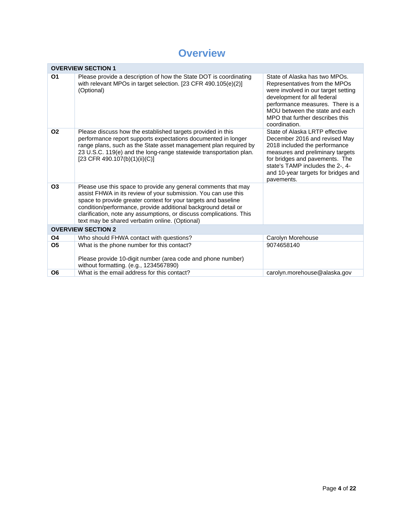## **Overview**

|                | <b>OVERVIEW SECTION 1</b>                                                                                                                                                                                                                                                                                                                                                                     |                                                                                                                                                                                                                                                                 |  |  |
|----------------|-----------------------------------------------------------------------------------------------------------------------------------------------------------------------------------------------------------------------------------------------------------------------------------------------------------------------------------------------------------------------------------------------|-----------------------------------------------------------------------------------------------------------------------------------------------------------------------------------------------------------------------------------------------------------------|--|--|
| O <sub>1</sub> | Please provide a description of how the State DOT is coordinating<br>with relevant MPOs in target selection. [23 CFR 490.105(e)(2)]<br>(Optional)                                                                                                                                                                                                                                             | State of Alaska has two MPOs.<br>Representatives from the MPOs<br>were involved in our target setting<br>development for all federal<br>performance measures. There is a<br>MOU between the state and each<br>MPO that further describes this<br>coordination.  |  |  |
| 02             | Please discuss how the established targets provided in this<br>performance report supports expectations documented in longer<br>range plans, such as the State asset management plan required by<br>23 U.S.C. 119(e) and the long-range statewide transportation plan.<br>[23 CFR 490.107(b)(1)(ii)(C)]                                                                                       | State of Alaska LRTP effective<br>December 2016 and revised May<br>2018 included the performance<br>measures and preliminary targets<br>for bridges and pavements. The<br>state's TAMP includes the 2-, 4-<br>and 10-year targets for bridges and<br>pavements. |  |  |
| <b>O3</b>      | Please use this space to provide any general comments that may<br>assist FHWA in its review of your submission. You can use this<br>space to provide greater context for your targets and baseline<br>condition/performance, provide additional background detail or<br>clarification, note any assumptions, or discuss complications. This<br>text may be shared verbatim online. (Optional) |                                                                                                                                                                                                                                                                 |  |  |
|                | <b>OVERVIEW SECTION 2</b>                                                                                                                                                                                                                                                                                                                                                                     |                                                                                                                                                                                                                                                                 |  |  |
| Ο4             | Who should FHWA contact with questions?                                                                                                                                                                                                                                                                                                                                                       | Carolyn Morehouse                                                                                                                                                                                                                                               |  |  |
| <b>O5</b>      | What is the phone number for this contact?<br>Please provide 10-digit number (area code and phone number)<br>without formatting. (e.g., 1234567890)                                                                                                                                                                                                                                           | 9074658140                                                                                                                                                                                                                                                      |  |  |
| Ο6             | What is the email address for this contact?                                                                                                                                                                                                                                                                                                                                                   | carolyn.morehouse@alaska.gov                                                                                                                                                                                                                                    |  |  |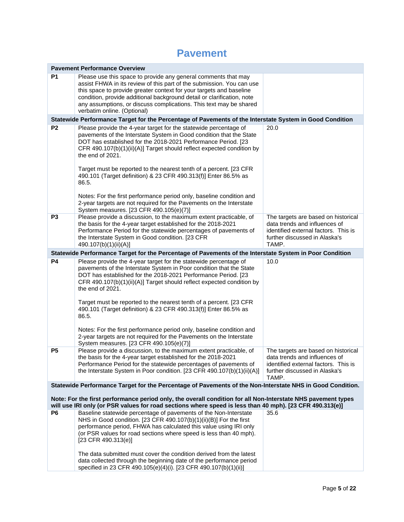#### **Pavement**

| <b>Pavement Performance Overview</b>                                                                      |                                                                                                                                                                                                                                                                                                                                                                                                                                                                                                                                                                                                                                                   |                                                                                                                                                        |
|-----------------------------------------------------------------------------------------------------------|---------------------------------------------------------------------------------------------------------------------------------------------------------------------------------------------------------------------------------------------------------------------------------------------------------------------------------------------------------------------------------------------------------------------------------------------------------------------------------------------------------------------------------------------------------------------------------------------------------------------------------------------------|--------------------------------------------------------------------------------------------------------------------------------------------------------|
| P1                                                                                                        | Please use this space to provide any general comments that may<br>assist FHWA in its review of this part of the submission. You can use<br>this space to provide greater context for your targets and baseline<br>condition, provide additional background detail or clarification, note<br>any assumptions, or discuss complications. This text may be shared<br>verbatim online. (Optional)                                                                                                                                                                                                                                                     |                                                                                                                                                        |
|                                                                                                           | Statewide Performance Target for the Percentage of Pavements of the Interstate System in Good Condition                                                                                                                                                                                                                                                                                                                                                                                                                                                                                                                                           |                                                                                                                                                        |
| P <sub>2</sub>                                                                                            | Please provide the 4-year target for the statewide percentage of<br>pavements of the Interstate System in Good condition that the State<br>DOT has established for the 2018-2021 Performance Period. [23<br>CFR 490.107(b)(1)(ii)(A)] Target should reflect expected condition by<br>the end of 2021.<br>Target must be reported to the nearest tenth of a percent. [23 CFR<br>490.101 (Target definition) & 23 CFR 490.313(f)] Enter 86.5% as<br>86.5.                                                                                                                                                                                           | 20.0                                                                                                                                                   |
|                                                                                                           | Notes: For the first performance period only, baseline condition and<br>2-year targets are not required for the Pavements on the Interstate<br>System measures. [23 CFR 490.105(e)(7)]                                                                                                                                                                                                                                                                                                                                                                                                                                                            |                                                                                                                                                        |
| P <sub>3</sub>                                                                                            | Please provide a discussion, to the maximum extent practicable, of<br>the basis for the 4-year target established for the 2018-2021<br>Performance Period for the statewide percentages of pavements of<br>the Interstate System in Good condition. [23 CFR<br>490.107(b)(1)(ii)(A)]                                                                                                                                                                                                                                                                                                                                                              | The targets are based on historical<br>data trends and influences of<br>identified external factors. This is<br>further discussed in Alaska's<br>TAMP. |
|                                                                                                           | Statewide Performance Target for the Percentage of Pavements of the Interstate System in Poor Condition                                                                                                                                                                                                                                                                                                                                                                                                                                                                                                                                           |                                                                                                                                                        |
| P <sub>4</sub>                                                                                            | Please provide the 4-year target for the statewide percentage of<br>pavements of the Interstate System in Poor condition that the State<br>DOT has established for the 2018-2021 Performance Period. [23<br>CFR 490.107(b)(1)(ii)(A)] Target should reflect expected condition by<br>the end of 2021.<br>Target must be reported to the nearest tenth of a percent. [23 CFR<br>490.101 (Target definition) & 23 CFR 490.313(f)] Enter 86.5% as<br>86.5.<br>Notes: For the first performance period only, baseline condition and<br>2-year targets are not required for the Pavements on the Interstate<br>System measures. [23 CFR 490.105(e)(7)] | 10.0                                                                                                                                                   |
| P <sub>5</sub>                                                                                            | Please provide a discussion, to the maximum extent practicable, of<br>the basis for the 4-year target established for the 2018-2021<br>Performance Period for the statewide percentages of pavements of<br>the Interstate System in Poor condition. [23 CFR 490.107(b)(1)(ii)(A)]                                                                                                                                                                                                                                                                                                                                                                 | The targets are based on historical<br>data trends and influences of<br>identified external factors. This is<br>further discussed in Alaska's<br>TAMP. |
| Statewide Performance Target for the Percentage of Pavements of the Non-Interstate NHS in Good Condition. |                                                                                                                                                                                                                                                                                                                                                                                                                                                                                                                                                                                                                                                   |                                                                                                                                                        |
|                                                                                                           | Note: For the first performance period only, the overall condition for all Non-Interstate NHS pavement types<br>will use IRI only (or PSR values for road sections where speed is less than 40 mph). [23 CFR 490.313(e)]                                                                                                                                                                                                                                                                                                                                                                                                                          |                                                                                                                                                        |
| P <sub>6</sub>                                                                                            | Baseline statewide percentage of pavements of the Non-Interstate<br>NHS in Good condition. [23 CFR 490.107(b)(1)(ii)(B)] For the first<br>performance period, FHWA has calculated this value using IRI only<br>(or PSR values for road sections where speed is less than 40 mph).<br>$[23$ CFR 490.313(e)]<br>The data submitted must cover the condition derived from the latest<br>data collected through the beginning date of the performance period<br>specified in 23 CFR 490.105(e)(4)(i). [23 CFR 490.107(b)(1)(ii)]                                                                                                                      | 35.6                                                                                                                                                   |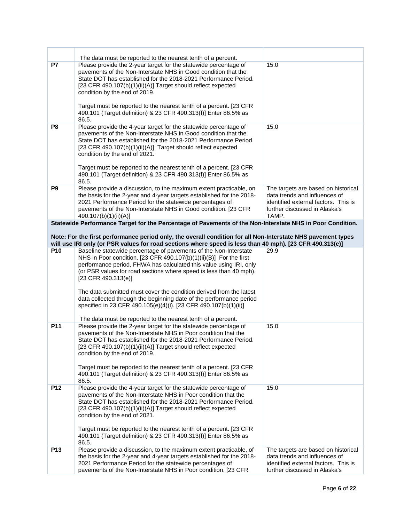| P7              | The data must be reported to the nearest tenth of a percent.<br>Please provide the 2-year target for the statewide percentage of<br>pavements of the Non-Interstate NHS in Good condition that the<br>State DOT has established for the 2018-2021 Performance Period.<br>[23 CFR 490.107(b)(1)(ii)(A)] Target should reflect expected<br>condition by the end of 2019.<br>Target must be reported to the nearest tenth of a percent. [23 CFR<br>490.101 (Target definition) & 23 CFR 490.313(f)] Enter 86.5% as<br>86.5.                                                                      | 15.0                                                                                                                                                   |
|-----------------|-----------------------------------------------------------------------------------------------------------------------------------------------------------------------------------------------------------------------------------------------------------------------------------------------------------------------------------------------------------------------------------------------------------------------------------------------------------------------------------------------------------------------------------------------------------------------------------------------|--------------------------------------------------------------------------------------------------------------------------------------------------------|
| P <sub>8</sub>  | Please provide the 4-year target for the statewide percentage of<br>pavements of the Non-Interstate NHS in Good condition that the<br>State DOT has established for the 2018-2021 Performance Period.<br>[23 CFR 490.107(b)(1)(ii)(A)] Target should reflect expected<br>condition by the end of 2021.<br>Target must be reported to the nearest tenth of a percent. [23 CFR<br>490.101 (Target definition) & 23 CFR 490.313(f)] Enter 86.5% as<br>86.5.                                                                                                                                      | 15.0                                                                                                                                                   |
| P <sub>9</sub>  | Please provide a discussion, to the maximum extent practicable, on<br>the basis for the 2-year and 4-year targets established for the 2018-<br>2021 Performance Period for the statewide percentages of<br>pavements of the Non-Interstate NHS in Good condition. [23 CFR<br>490.107(b)(1)(ii)(A)]                                                                                                                                                                                                                                                                                            | The targets are based on historical<br>data trends and influences of<br>identified external factors. This is<br>further discussed in Alaska's<br>TAMP. |
|                 | Statewide Performance Target for the Percentage of Pavements of the Non-Interstate NHS in Poor Condition.<br>Note: For the first performance period only, the overall condition for all Non-Interstate NHS pavement types<br>will use IRI only (or PSR values for road sections where speed is less than 40 mph). [23 CFR 490.313(e)]                                                                                                                                                                                                                                                         |                                                                                                                                                        |
| P <sub>10</sub> | Baseline statewide percentage of pavements of the Non-Interstate<br>NHS in Poor condition. [23 CFR 490.107(b)(1)(ii)(B)] For the first<br>performance period, FHWA has calculated this value using IRI, only<br>(or PSR values for road sections where speed is less than 40 mph).<br>$[23$ CFR 490.313(e)]<br>The data submitted must cover the condition derived from the latest<br>data collected through the beginning date of the performance period<br>specified in 23 CFR 490.105(e)(4)(i). [23 CFR 490.107(b)(1)(ii)]<br>The data must be reported to the nearest tenth of a percent. | 29.9                                                                                                                                                   |
| P11             | Please provide the 2-year target for the statewide percentage of<br>pavements of the Non-Interstate NHS in Poor condition that the<br>State DOT has established for the 2018-2021 Performance Period.<br>[23 CFR 490.107(b)(1)(ii)(A)] Target should reflect expected<br>condition by the end of 2019.<br>Target must be reported to the nearest tenth of a percent. [23 CFR<br>490.101 (Target definition) & 23 CFR 490.313(f)] Enter 86.5% as<br>86.5.                                                                                                                                      | 15.0                                                                                                                                                   |
| P12             | Please provide the 4-year target for the statewide percentage of<br>pavements of the Non-Interstate NHS in Poor condition that the<br>State DOT has established for the 2018-2021 Performance Period.<br>[23 CFR 490.107(b)(1)(ii)(A)] Target should reflect expected<br>condition by the end of 2021.<br>Target must be reported to the nearest tenth of a percent. [23 CFR<br>490.101 (Target definition) & 23 CFR 490.313(f)] Enter 86.5% as<br>86.5.                                                                                                                                      | 15.0                                                                                                                                                   |
| P <sub>13</sub> | Please provide a discussion, to the maximum extent practicable, of<br>the basis for the 2-year and 4-year targets established for the 2018-<br>2021 Performance Period for the statewide percentages of<br>pavements of the Non-Interstate NHS in Poor condition. [23 CFR                                                                                                                                                                                                                                                                                                                     | The targets are based on historical<br>data trends and influences of<br>identified external factors. This is<br>further discussed in Alaska's          |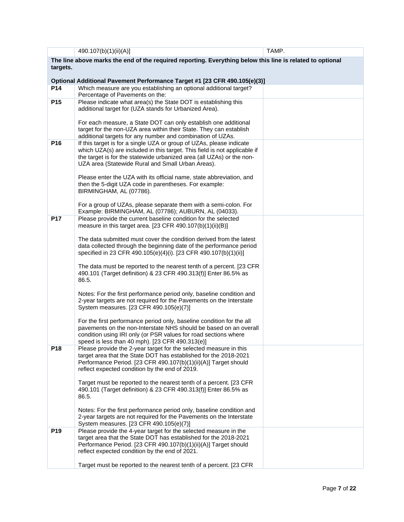|                 | 490.107(b)(1)(ii)(A)]                                                                                                                             | TAMP. |
|-----------------|---------------------------------------------------------------------------------------------------------------------------------------------------|-------|
|                 | The line above marks the end of the required reporting. Everything below this line is related to optional                                         |       |
| targets.        |                                                                                                                                                   |       |
|                 |                                                                                                                                                   |       |
| P <sub>14</sub> | Optional Additional Pavement Performance Target #1 [23 CFR 490.105(e)(3)]                                                                         |       |
|                 | Which measure are you establishing an optional additional target?<br>Percentage of Pavements on the:                                              |       |
| P <sub>15</sub> | Please indicate what area(s) the State DOT is establishing this                                                                                   |       |
|                 | additional target for (UZA stands for Urbanized Area).                                                                                            |       |
|                 |                                                                                                                                                   |       |
|                 | For each measure, a State DOT can only establish one additional                                                                                   |       |
|                 | target for the non-UZA area within their State. They can establish                                                                                |       |
|                 | additional targets for any number and combination of UZAs.                                                                                        |       |
| P16             | If this target is for a single UZA or group of UZAs, please indicate<br>which UZA(s) are included in this target. This field is not applicable if |       |
|                 | the target is for the statewide urbanized area (all UZAs) or the non-                                                                             |       |
|                 | UZA area (Statewide Rural and Small Urban Areas).                                                                                                 |       |
|                 |                                                                                                                                                   |       |
|                 | Please enter the UZA with its official name, state abbreviation, and                                                                              |       |
|                 | then the 5-digit UZA code in parentheses. For example:                                                                                            |       |
|                 | BIRMINGHAM, AL (07786).                                                                                                                           |       |
|                 | For a group of UZAs, please separate them with a semi-colon. For                                                                                  |       |
|                 | Example: BIRMINGHAM, AL (07786); AUBURN, AL (04033).                                                                                              |       |
| <b>P17</b>      | Please provide the current baseline condition for the selected                                                                                    |       |
|                 | measure in this target area. [23 CFR 490.107(b)(1)(ii)(B)]                                                                                        |       |
|                 |                                                                                                                                                   |       |
|                 | The data submitted must cover the condition derived from the latest<br>data collected through the beginning date of the performance period        |       |
|                 | specified in 23 CFR 490.105(e)(4)(i). [23 CFR 490.107(b)(1)(ii)]                                                                                  |       |
|                 |                                                                                                                                                   |       |
|                 | The data must be reported to the nearest tenth of a percent. [23 CFR                                                                              |       |
|                 | 490.101 (Target definition) & 23 CFR 490.313(f)] Enter 86.5% as                                                                                   |       |
|                 | 86.5.                                                                                                                                             |       |
|                 | Notes: For the first performance period only, baseline condition and                                                                              |       |
|                 | 2-year targets are not required for the Pavements on the Interstate                                                                               |       |
|                 | System measures. [23 CFR 490.105(e)(7)]                                                                                                           |       |
|                 |                                                                                                                                                   |       |
|                 | For the first performance period only, baseline condition for the all                                                                             |       |
|                 | pavements on the non-Interstate NHS should be based on an overall<br>condition using IRI only (or PSR values for road sections where              |       |
|                 | speed is less than 40 mph). [23 CFR 490.313(e)]                                                                                                   |       |
| P18             | Please provide the 2-year target for the selected measure in this                                                                                 |       |
|                 | target area that the State DOT has established for the 2018-2021                                                                                  |       |
|                 | Performance Period. [23 CFR 490.107(b)(1)(ii)(A)] Target should                                                                                   |       |
|                 | reflect expected condition by the end of 2019.                                                                                                    |       |
|                 | Target must be reported to the nearest tenth of a percent. [23 CFR                                                                                |       |
|                 | 490.101 (Target definition) & 23 CFR 490.313(f)] Enter 86.5% as                                                                                   |       |
|                 | 86.5.                                                                                                                                             |       |
|                 |                                                                                                                                                   |       |
|                 | Notes: For the first performance period only, baseline condition and                                                                              |       |
|                 | 2-year targets are not required for the Pavements on the Interstate                                                                               |       |
| P <sub>19</sub> | System measures. [23 CFR 490.105(e)(7)]<br>Please provide the 4-year target for the selected measure in the                                       |       |
|                 | target area that the State DOT has established for the 2018-2021                                                                                  |       |
|                 | Performance Period. [23 CFR 490.107(b)(1)(ii)(A)] Target should                                                                                   |       |
|                 | reflect expected condition by the end of 2021.                                                                                                    |       |
|                 |                                                                                                                                                   |       |
|                 | Target must be reported to the nearest tenth of a percent. [23 CFR                                                                                |       |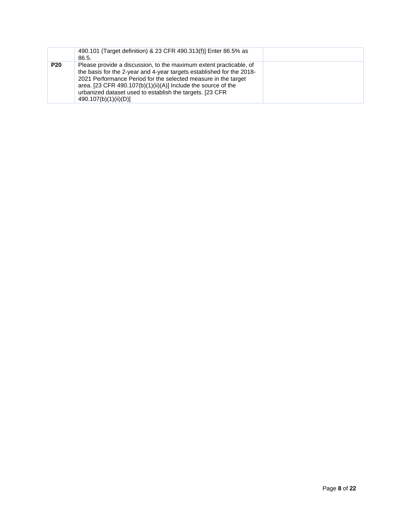|            | 490.101 (Target definition) & 23 CFR 490.313(f)] Enter 86.5% as<br>86.5.                                                                                                                                                                                                                                                                                            |  |
|------------|---------------------------------------------------------------------------------------------------------------------------------------------------------------------------------------------------------------------------------------------------------------------------------------------------------------------------------------------------------------------|--|
| <b>P20</b> | Please provide a discussion, to the maximum extent practicable, of<br>the basis for the 2-year and 4-year targets established for the 2018-<br>2021 Performance Period for the selected measure in the target<br>area. [23 CFR 490.107(b)(1)(ii)(A)] Include the source of the<br>urbanized dataset used to establish the targets. [23 CFR<br>490.107(b)(1)(ii)(D)] |  |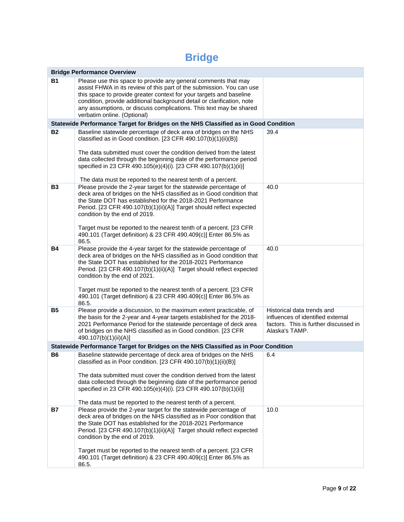## **Bridge**

|           | <b>Bridge Performance Overview</b>                                                                                                                                                                                                                                                                                                                                                                                                                                 |                                                                                                                            |
|-----------|--------------------------------------------------------------------------------------------------------------------------------------------------------------------------------------------------------------------------------------------------------------------------------------------------------------------------------------------------------------------------------------------------------------------------------------------------------------------|----------------------------------------------------------------------------------------------------------------------------|
| <b>B1</b> | Please use this space to provide any general comments that may<br>assist FHWA in its review of this part of the submission. You can use<br>this space to provide greater context for your targets and baseline<br>condition, provide additional background detail or clarification, note<br>any assumptions, or discuss complications. This text may be shared<br>verbatim online. (Optional)                                                                      |                                                                                                                            |
|           | Statewide Performance Target for Bridges on the NHS Classified as in Good Condition                                                                                                                                                                                                                                                                                                                                                                                |                                                                                                                            |
| <b>B2</b> | Baseline statewide percentage of deck area of bridges on the NHS<br>classified as in Good condition. [23 CFR 490.107(b)(1)(ii)(B)]<br>The data submitted must cover the condition derived from the latest<br>data collected through the beginning date of the performance period<br>specified in 23 CFR 490.105(e)(4)(i). [23 CFR 490.107(b)(1)(ii)]<br>The data must be reported to the nearest tenth of a percent.                                               | 39.4                                                                                                                       |
| <b>B3</b> | Please provide the 2-year target for the statewide percentage of<br>deck area of bridges on the NHS classified as in Good condition that<br>the State DOT has established for the 2018-2021 Performance<br>Period. [23 CFR 490.107(b)(1)(ii)(A)] Target should reflect expected<br>condition by the end of 2019.<br>Target must be reported to the nearest tenth of a percent. [23 CFR<br>490.101 (Target definition) & 23 CFR 490.409(c)] Enter 86.5% as<br>86.5. | 40.0                                                                                                                       |
| Β4        | Please provide the 4-year target for the statewide percentage of<br>deck area of bridges on the NHS classified as in Good condition that<br>the State DOT has established for the 2018-2021 Performance<br>Period. [23 CFR 490.107(b)(1)(ii)(A)] Target should reflect expected<br>condition by the end of 2021.<br>Target must be reported to the nearest tenth of a percent. [23 CFR<br>490.101 (Target definition) & 23 CFR 490.409(c)] Enter 86.5% as<br>86.5. | 40.0                                                                                                                       |
| <b>B5</b> | Please provide a discussion, to the maximum extent practicable, of<br>the basis for the 2-year and 4-year targets established for the 2018-<br>2021 Performance Period for the statewide percentage of deck area<br>of bridges on the NHS classified as in Good condition. [23 CFR<br>490.107(b)(1)(ii)(A)]                                                                                                                                                        | Historical data trends and<br>influences of identified external<br>factors. This is further discussed in<br>Alaska's TAMP. |
|           | Statewide Performance Target for Bridges on the NHS Classified as in Poor Condition                                                                                                                                                                                                                                                                                                                                                                                |                                                                                                                            |
| <b>B6</b> | Baseline statewide percentage of deck area of bridges on the NHS<br>classified as in Poor condition. [23 CFR 490.107(b)(1)(ii)(B)]<br>The data submitted must cover the condition derived from the latest<br>data collected through the beginning date of the performance period<br>specified in 23 CFR 490.105(e)(4)(i). [23 CFR 490.107(b)(1)(ii)]<br>The data must be reported to the nearest tenth of a percent.                                               | 6.4                                                                                                                        |
| <b>B7</b> | Please provide the 2-year target for the statewide percentage of<br>deck area of bridges on the NHS classified as in Poor condition that<br>the State DOT has established for the 2018-2021 Performance<br>Period. [23 CFR 490.107(b)(1)(ii)(A)] Target should reflect expected<br>condition by the end of 2019.<br>Target must be reported to the nearest tenth of a percent. [23 CFR<br>490.101 (Target definition) & 23 CFR 490.409(c)] Enter 86.5% as<br>86.5. | 10.0                                                                                                                       |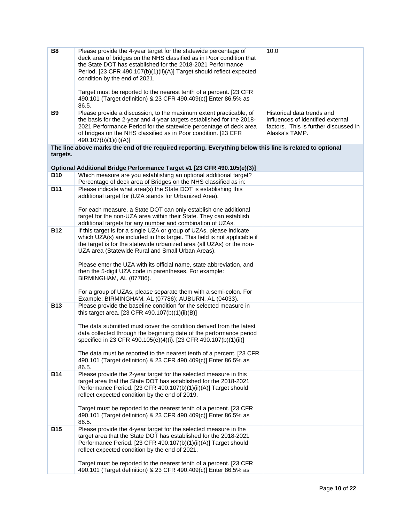| <b>B8</b>  | Please provide the 4-year target for the statewide percentage of<br>deck area of bridges on the NHS classified as in Poor condition that<br>the State DOT has established for the 2018-2021 Performance<br>Period. [23 CFR 490.107(b)(1)(ii)(A)] Target should reflect expected<br>condition by the end of 2021.<br>Target must be reported to the nearest tenth of a percent. [23 CFR<br>490.101 (Target definition) & 23 CFR 490.409(c)] Enter 86.5% as<br>86.5.                                                                                                       | 10.0                                                                                                                       |
|------------|--------------------------------------------------------------------------------------------------------------------------------------------------------------------------------------------------------------------------------------------------------------------------------------------------------------------------------------------------------------------------------------------------------------------------------------------------------------------------------------------------------------------------------------------------------------------------|----------------------------------------------------------------------------------------------------------------------------|
| <b>B9</b>  | Please provide a discussion, to the maximum extent practicable, of<br>the basis for the 2-year and 4-year targets established for the 2018-<br>2021 Performance Period for the statewide percentage of deck area<br>of bridges on the NHS classified as in Poor condition. [23 CFR<br>490.107(b)(1)(ii)(A)]                                                                                                                                                                                                                                                              | Historical data trends and<br>influences of identified external<br>factors. This is further discussed in<br>Alaska's TAMP. |
| targets.   | The line above marks the end of the required reporting. Everything below this line is related to optional                                                                                                                                                                                                                                                                                                                                                                                                                                                                |                                                                                                                            |
|            | Optional Additional Bridge Performance Target #1 [23 CFR 490.105(e)(3)]                                                                                                                                                                                                                                                                                                                                                                                                                                                                                                  |                                                                                                                            |
| <b>B10</b> | Which measure are you establishing an optional additional target?                                                                                                                                                                                                                                                                                                                                                                                                                                                                                                        |                                                                                                                            |
|            | Percentage of deck area of Bridges on the NHS classified as in:                                                                                                                                                                                                                                                                                                                                                                                                                                                                                                          |                                                                                                                            |
| <b>B11</b> | Please indicate what area(s) the State DOT is establishing this<br>additional target for (UZA stands for Urbanized Area).                                                                                                                                                                                                                                                                                                                                                                                                                                                |                                                                                                                            |
|            | For each measure, a State DOT can only establish one additional<br>target for the non-UZA area within their State. They can establish<br>additional targets for any number and combination of UZAs.                                                                                                                                                                                                                                                                                                                                                                      |                                                                                                                            |
| <b>B12</b> | If this target is for a single UZA or group of UZAs, please indicate<br>which UZA(s) are included in this target. This field is not applicable if<br>the target is for the statewide urbanized area (all UZAs) or the non-<br>UZA area (Statewide Rural and Small Urban Areas).<br>Please enter the UZA with its official name, state abbreviation, and<br>then the 5-digit UZA code in parentheses. For example:<br>BIRMINGHAM, AL (07786).<br>For a group of UZAs, please separate them with a semi-colon. For<br>Example: BIRMINGHAM, AL (07786); AUBURN, AL (04033). |                                                                                                                            |
| <b>B13</b> | Please provide the baseline condition for the selected measure in<br>this target area. [23 CFR 490.107(b)(1)(ii)(B)]<br>The data submitted must cover the condition derived from the latest<br>data collected through the beginning date of the performance period<br>specified in 23 CFR 490.105(e)(4)(i). [23 CFR 490.107(b)(1)(ii)]<br>The data must be reported to the nearest tenth of a percent. [23 CFR]<br>490.101 (Target definition) & 23 CFR 490.409(c)] Enter 86.5% as<br>86.5.                                                                              |                                                                                                                            |
| <b>B14</b> | Please provide the 2-year target for the selected measure in this<br>target area that the State DOT has established for the 2018-2021<br>Performance Period. [23 CFR 490.107(b)(1)(ii)(A)] Target should<br>reflect expected condition by the end of 2019.<br>Target must be reported to the nearest tenth of a percent. [23 CFR<br>490.101 (Target definition) & 23 CFR 490.409(c)] Enter 86.5% as<br>86.5.                                                                                                                                                             |                                                                                                                            |
| <b>B15</b> | Please provide the 4-year target for the selected measure in the<br>target area that the State DOT has established for the 2018-2021<br>Performance Period. [23 CFR 490.107(b)(1)(ii)(A)] Target should<br>reflect expected condition by the end of 2021.                                                                                                                                                                                                                                                                                                                |                                                                                                                            |
|            | Target must be reported to the nearest tenth of a percent. [23 CFR<br>490.101 (Target definition) & 23 CFR 490.409(c)] Enter 86.5% as                                                                                                                                                                                                                                                                                                                                                                                                                                    |                                                                                                                            |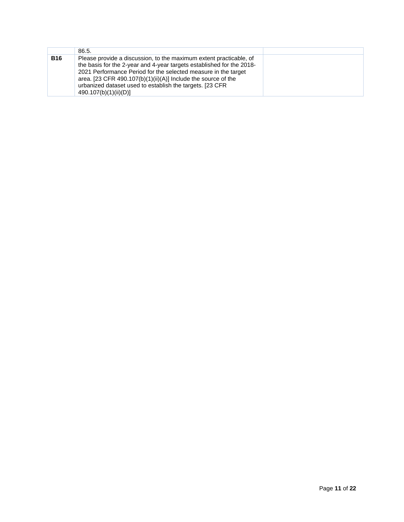|            | 86.5.                                                                                                                                                                                                                                                                                                                                                                |  |
|------------|----------------------------------------------------------------------------------------------------------------------------------------------------------------------------------------------------------------------------------------------------------------------------------------------------------------------------------------------------------------------|--|
| <b>B16</b> | Please provide a discussion, to the maximum extent practicable, of<br>the basis for the 2-year and 4-year targets established for the 2018-<br>2021 Performance Period for the selected measure in the target<br>area. [23 CFR 490.107(b)(1)(ii)(A)] Include the source of the<br>urbanized dataset used to establish the targets. [23 CFR]<br>490.107(b)(1)(ii)(D)] |  |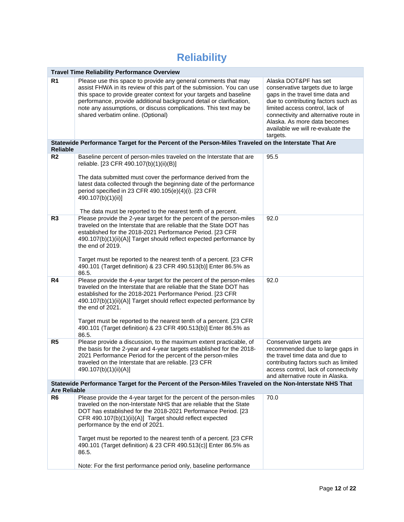## **Reliability**

|                     | <b>Travel Time Reliability Performance Overview</b>                                                                                                                                                                                                                                                                                                                                                                                                                                                                                 |                                                                                                                                                                                                                                                                                                    |
|---------------------|-------------------------------------------------------------------------------------------------------------------------------------------------------------------------------------------------------------------------------------------------------------------------------------------------------------------------------------------------------------------------------------------------------------------------------------------------------------------------------------------------------------------------------------|----------------------------------------------------------------------------------------------------------------------------------------------------------------------------------------------------------------------------------------------------------------------------------------------------|
| R <sub>1</sub>      | Please use this space to provide any general comments that may<br>assist FHWA in its review of this part of the submission. You can use<br>this space to provide greater context for your targets and baseline<br>performance, provide additional background detail or clarification,<br>note any assumptions, or discuss complications. This text may be<br>shared verbatim online. (Optional)                                                                                                                                     | Alaska DOT&PF has set<br>conservative targets due to large<br>gaps in the travel time data and<br>due to contributing factors such as<br>limited access control, lack of<br>connectivity and alternative route in<br>Alaska. As more data becomes<br>available we will re-evaluate the<br>targets. |
| <b>Reliable</b>     | Statewide Performance Target for the Percent of the Person-Miles Traveled on the Interstate That Are                                                                                                                                                                                                                                                                                                                                                                                                                                |                                                                                                                                                                                                                                                                                                    |
| R <sub>2</sub>      | Baseline percent of person-miles traveled on the Interstate that are<br>reliable. [23 CFR 490.107(b)(1)(ii)(B)]<br>The data submitted must cover the performance derived from the<br>latest data collected through the beginning date of the performance<br>period specified in 23 CFR 490.105(e)(4)(i). [23 CFR<br>490.107(b)(1)(ii)]<br>The data must be reported to the nearest tenth of a percent.                                                                                                                              | 95.5                                                                                                                                                                                                                                                                                               |
| R <sub>3</sub>      | Please provide the 2-year target for the percent of the person-miles<br>traveled on the Interstate that are reliable that the State DOT has<br>established for the 2018-2021 Performance Period. [23 CFR<br>490.107(b)(1)(ii)(A)] Target should reflect expected performance by<br>the end of 2019.<br>Target must be reported to the nearest tenth of a percent. [23 CFR<br>490.101 (Target definition) & 23 CFR 490.513(b)] Enter 86.5% as<br>86.5.                                                                               | 92.0                                                                                                                                                                                                                                                                                               |
| R4                  | Please provide the 4-year target for the percent of the person-miles<br>traveled on the Interstate that are reliable that the State DOT has<br>established for the 2018-2021 Performance Period. [23 CFR<br>490.107(b)(1)(ii)(A)] Target should reflect expected performance by<br>the end of 2021.<br>Target must be reported to the nearest tenth of a percent. [23 CFR<br>490.101 (Target definition) & 23 CFR 490.513(b)] Enter 86.5% as<br>86.5.                                                                               | 92.0                                                                                                                                                                                                                                                                                               |
| R <sub>5</sub>      | Please provide a discussion, to the maximum extent practicable, of<br>the basis for the 2-year and 4-year targets established for the 2018-<br>2021 Performance Period for the percent of the person-miles<br>traveled on the Interstate that are reliable. [23 CFR<br>490.107(b)(1)(ii)(A)]                                                                                                                                                                                                                                        | Conservative targets are<br>recommended due to large gaps in<br>the travel time data and due to<br>contributing factors such as limited<br>access control, lack of connectivity<br>and alternative route in Alaska.                                                                                |
| <b>Are Reliable</b> | Statewide Performance Target for the Percent of the Person-Miles Traveled on the Non-Interstate NHS That                                                                                                                                                                                                                                                                                                                                                                                                                            |                                                                                                                                                                                                                                                                                                    |
| R <sub>6</sub>      | Please provide the 4-year target for the percent of the person-miles<br>traveled on the non-Interstate NHS that are reliable that the State<br>DOT has established for the 2018-2021 Performance Period. [23<br>CFR 490.107(b)(1)(ii)(A)] Target should reflect expected<br>performance by the end of 2021.<br>Target must be reported to the nearest tenth of a percent. [23 CFR]<br>490.101 (Target definition) & 23 CFR 490.513(c)] Enter 86.5% as<br>86.5.<br>Note: For the first performance period only, baseline performance | 70.0                                                                                                                                                                                                                                                                                               |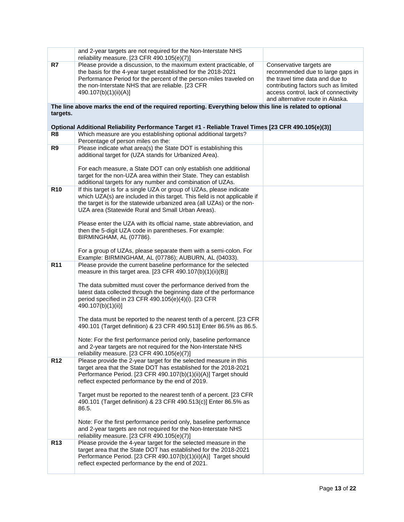|                 | and 2-year targets are not required for the Non-Interstate NHS<br>reliability measure. $[23$ CFR 490.105(e)(7)]                                                                                                                                                                         |                                                                                                                                                                                                                     |
|-----------------|-----------------------------------------------------------------------------------------------------------------------------------------------------------------------------------------------------------------------------------------------------------------------------------------|---------------------------------------------------------------------------------------------------------------------------------------------------------------------------------------------------------------------|
| R7              | Please provide a discussion, to the maximum extent practicable, of<br>the basis for the 4-year target established for the 2018-2021<br>Performance Period for the percent of the person-miles traveled on<br>the non-Interstate NHS that are reliable. [23 CFR<br>490.107(b)(1)(ii)(A)] | Conservative targets are<br>recommended due to large gaps in<br>the travel time data and due to<br>contributing factors such as limited<br>access control, lack of connectivity<br>and alternative route in Alaska. |
| targets.        | The line above marks the end of the required reporting. Everything below this line is related to optional                                                                                                                                                                               |                                                                                                                                                                                                                     |
|                 | Optional Additional Reliability Performance Target #1 - Reliable Travel Times [23 CFR 490.105(e)(3)]                                                                                                                                                                                    |                                                                                                                                                                                                                     |
| R8              | Which measure are you establishing optional additional targets?<br>Percentage of person miles on the:                                                                                                                                                                                   |                                                                                                                                                                                                                     |
| R9              | Please indicate what area(s) the State DOT is establishing this<br>additional target for (UZA stands for Urbanized Area).                                                                                                                                                               |                                                                                                                                                                                                                     |
|                 | For each measure, a State DOT can only establish one additional<br>target for the non-UZA area within their State. They can establish<br>additional targets for any number and combination of UZAs.                                                                                     |                                                                                                                                                                                                                     |
| <b>R10</b>      | If this target is for a single UZA or group of UZAs, please indicate                                                                                                                                                                                                                    |                                                                                                                                                                                                                     |
|                 | which UZA(s) are included in this target. This field is not applicable if<br>the target is for the statewide urbanized area (all UZAs) or the non-<br>UZA area (Statewide Rural and Small Urban Areas).                                                                                 |                                                                                                                                                                                                                     |
|                 | Please enter the UZA with its official name, state abbreviation, and<br>then the 5-digit UZA code in parentheses. For example:<br>BIRMINGHAM, AL (07786).                                                                                                                               |                                                                                                                                                                                                                     |
|                 | For a group of UZAs, please separate them with a semi-colon. For<br>Example: BIRMINGHAM, AL (07786); AUBURN, AL (04033).                                                                                                                                                                |                                                                                                                                                                                                                     |
| R <sub>11</sub> | Please provide the current baseline performance for the selected<br>measure in this target area. [23 CFR 490.107(b)(1)(ii)(B)]                                                                                                                                                          |                                                                                                                                                                                                                     |
|                 | The data submitted must cover the performance derived from the<br>latest data collected through the beginning date of the performance<br>period specified in 23 CFR 490.105(e)(4)(i). [23 CFR<br>490.107(b)(1)(ii)]                                                                     |                                                                                                                                                                                                                     |
|                 | The data must be reported to the nearest tenth of a percent. [23 CFR<br>490.101 (Target definition) & 23 CFR 490.513] Enter 86.5% as 86.5.                                                                                                                                              |                                                                                                                                                                                                                     |
|                 | Note: For the first performance period only, baseline performance<br>and 2-year targets are not required for the Non-Interstate NHS<br>reliability measure. [23 CFR 490.105(e)(7)]                                                                                                      |                                                                                                                                                                                                                     |
| R <sub>12</sub> | Please provide the 2-year target for the selected measure in this<br>target area that the State DOT has established for the 2018-2021<br>Performance Period. [23 CFR 490.107(b)(1)(ii)(A)] Target should<br>reflect expected performance by the end of 2019.                            |                                                                                                                                                                                                                     |
|                 | Target must be reported to the nearest tenth of a percent. [23 CFR]<br>490.101 (Target definition) & 23 CFR 490.513(c)] Enter 86.5% as<br>86.5.                                                                                                                                         |                                                                                                                                                                                                                     |
|                 | Note: For the first performance period only, baseline performance<br>and 2-year targets are not required for the Non-Interstate NHS<br>reliability measure. $[23$ CFR 490.105(e)(7)]                                                                                                    |                                                                                                                                                                                                                     |
| R <sub>13</sub> | Please provide the 4-year target for the selected measure in the<br>target area that the State DOT has established for the 2018-2021<br>Performance Period. [23 CFR 490.107(b)(1)(ii)(A)] Target should<br>reflect expected performance by the end of 2021.                             |                                                                                                                                                                                                                     |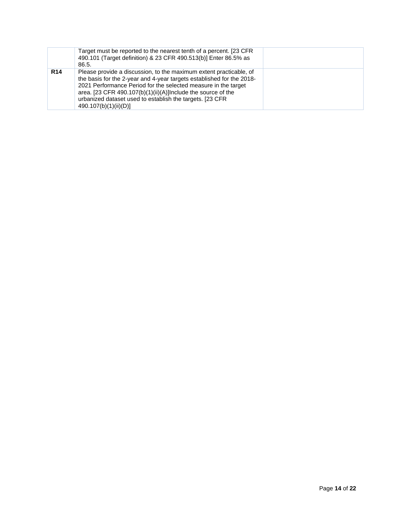|            | Target must be reported to the nearest tenth of a percent. [23 CFR]<br>490.101 (Target definition) & 23 CFR 490.513(b)] Enter 86.5% as<br>86.5.                                                                                                                                                                                                                    |  |
|------------|--------------------------------------------------------------------------------------------------------------------------------------------------------------------------------------------------------------------------------------------------------------------------------------------------------------------------------------------------------------------|--|
| <b>R14</b> | Please provide a discussion, to the maximum extent practicable, of<br>the basis for the 2-year and 4-year targets established for the 2018-<br>2021 Performance Period for the selected measure in the target<br>area. [23 CFR 490.107(b)(1)(ii)(A)]Include the source of the<br>urbanized dataset used to establish the targets. [23 CFR<br>490.107(b)(1)(ii)(D)] |  |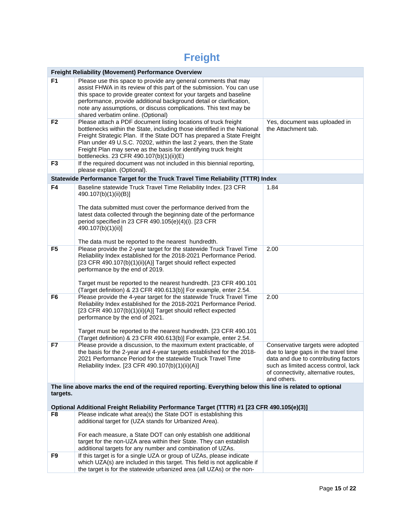## **Freight**

|                                                                                                           | <b>Freight Reliability (Movement) Performance Overview</b>                                                                                                                                                                                                                                                                                                                                                                                                           |                                                                                                                                                                                                                  |  |  |
|-----------------------------------------------------------------------------------------------------------|----------------------------------------------------------------------------------------------------------------------------------------------------------------------------------------------------------------------------------------------------------------------------------------------------------------------------------------------------------------------------------------------------------------------------------------------------------------------|------------------------------------------------------------------------------------------------------------------------------------------------------------------------------------------------------------------|--|--|
| F <sub>1</sub>                                                                                            | Please use this space to provide any general comments that may<br>assist FHWA in its review of this part of the submission. You can use<br>this space to provide greater context for your targets and baseline<br>performance, provide additional background detail or clarification,<br>note any assumptions, or discuss complications. This text may be<br>shared verbatim online. (Optional)                                                                      |                                                                                                                                                                                                                  |  |  |
| F <sub>2</sub>                                                                                            | Please attach a PDF document listing locations of truck freight<br>Yes, document was uploaded in<br>bottlenecks within the State, including those identified in the National<br>the Attachment tab.<br>Freight Strategic Plan. If the State DOT has prepared a State Freight<br>Plan under 49 U.S.C. 70202, within the last 2 years, then the State<br>Freight Plan may serve as the basis for identifying truck freight<br>bottlenecks. 23 CFR 490.107(b)(1)(ii)(E) |                                                                                                                                                                                                                  |  |  |
| F <sub>3</sub>                                                                                            | If the required document was not included in this biennial reporting,<br>please explain. (Optional).                                                                                                                                                                                                                                                                                                                                                                 |                                                                                                                                                                                                                  |  |  |
|                                                                                                           | Statewide Performance Target for the Truck Travel Time Reliability (TTTR) Index                                                                                                                                                                                                                                                                                                                                                                                      |                                                                                                                                                                                                                  |  |  |
| F4                                                                                                        | Baseline statewide Truck Travel Time Reliability Index. [23 CFR<br>490.107(b)(1)(ii)(B)]<br>The data submitted must cover the performance derived from the                                                                                                                                                                                                                                                                                                           | 1.84                                                                                                                                                                                                             |  |  |
|                                                                                                           | latest data collected through the beginning date of the performance<br>period specified in 23 CFR 490.105(e)(4)(i). [23 CFR<br>490.107(b)(1)(ii)]                                                                                                                                                                                                                                                                                                                    |                                                                                                                                                                                                                  |  |  |
| F <sub>5</sub>                                                                                            | The data must be reported to the nearest hundredth.<br>Please provide the 2-year target for the statewide Truck Travel Time<br>Reliability Index established for the 2018-2021 Performance Period.<br>[23 CFR 490.107(b)(1)(ii)(A)] Target should reflect expected<br>performance by the end of 2019.<br>Target must be reported to the nearest hundredth. [23 CFR 490.101<br>(Target definition) & 23 CFR 490.613(b)] For example, enter 2.54.                      | 2.00                                                                                                                                                                                                             |  |  |
| F <sub>6</sub>                                                                                            | Please provide the 4-year target for the statewide Truck Travel Time<br>Reliability Index established for the 2018-2021 Performance Period.<br>[23 CFR 490.107(b)(1)(ii)(A)] Target should reflect expected<br>performance by the end of 2021.<br>Target must be reported to the nearest hundredth. [23 CFR 490.101<br>(Target definition) & 23 CFR 490.613(b)] For example, enter 2.54.                                                                             | 2.00                                                                                                                                                                                                             |  |  |
| F7                                                                                                        | Please provide a discussion, to the maximum extent practicable, of<br>the basis for the 2-year and 4-year targets established for the 2018-<br>2021 Performance Period for the statewide Truck Travel Time<br>Reliability Index. [23 CFR 490.107(b)(1)(ii)(A)]                                                                                                                                                                                                       | Conservative targets were adopted<br>due to large gaps in the travel time<br>data and due to contributing factors<br>such as limited access control, lack<br>of connectivity, alternative routes,<br>and others. |  |  |
| The line above marks the end of the required reporting. Everything below this line is related to optional |                                                                                                                                                                                                                                                                                                                                                                                                                                                                      |                                                                                                                                                                                                                  |  |  |
| targets.                                                                                                  |                                                                                                                                                                                                                                                                                                                                                                                                                                                                      |                                                                                                                                                                                                                  |  |  |
| Optional Additional Freight Reliability Performance Target (TTTR) #1 [23 CFR 490.105(e)(3)]               |                                                                                                                                                                                                                                                                                                                                                                                                                                                                      |                                                                                                                                                                                                                  |  |  |
| F8                                                                                                        | Please indicate what area(s) the State DOT is establishing this<br>additional target for (UZA stands for Urbanized Area).                                                                                                                                                                                                                                                                                                                                            |                                                                                                                                                                                                                  |  |  |
|                                                                                                           | For each measure, a State DOT can only establish one additional<br>target for the non-UZA area within their State. They can establish<br>additional targets for any number and combination of UZAs.                                                                                                                                                                                                                                                                  |                                                                                                                                                                                                                  |  |  |
| F9                                                                                                        | If this target is for a single UZA or group of UZAs, please indicate<br>which UZA(s) are included in this target. This field is not applicable if<br>the target is for the statewide urbanized area (all UZAs) or the non-                                                                                                                                                                                                                                           |                                                                                                                                                                                                                  |  |  |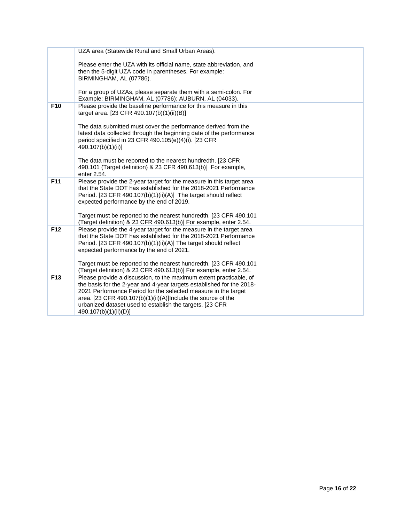|                 | UZA area (Statewide Rural and Small Urban Areas).                                                                                                                                                                                                                                                                                                                  |  |
|-----------------|--------------------------------------------------------------------------------------------------------------------------------------------------------------------------------------------------------------------------------------------------------------------------------------------------------------------------------------------------------------------|--|
|                 | Please enter the UZA with its official name, state abbreviation, and<br>then the 5-digit UZA code in parentheses. For example:<br>BIRMINGHAM, AL (07786).                                                                                                                                                                                                          |  |
|                 | For a group of UZAs, please separate them with a semi-colon. For<br>Example: BIRMINGHAM, AL (07786); AUBURN, AL (04033).                                                                                                                                                                                                                                           |  |
| F <sub>10</sub> | Please provide the baseline performance for this measure in this<br>target area. [23 CFR 490.107(b)(1)(ii)(B)]                                                                                                                                                                                                                                                     |  |
|                 | The data submitted must cover the performance derived from the<br>latest data collected through the beginning date of the performance<br>period specified in 23 CFR 490.105(e)(4)(i). [23 CFR<br>490.107(b)(1)(ii)]                                                                                                                                                |  |
|                 | The data must be reported to the nearest hundredth. [23 CFR<br>490.101 (Target definition) & 23 CFR 490.613(b)] For example,<br>enter 2.54.                                                                                                                                                                                                                        |  |
| F11             | Please provide the 2-year target for the measure in this target area<br>that the State DOT has established for the 2018-2021 Performance<br>Period. [23 CFR 490.107(b)(1)(ii)(A)] The target should reflect<br>expected performance by the end of 2019.                                                                                                            |  |
|                 | Target must be reported to the nearest hundredth. [23 CFR 490.101<br>(Target definition) & 23 CFR 490.613(b)] For example, enter 2.54.                                                                                                                                                                                                                             |  |
| F12             | Please provide the 4-year target for the measure in the target area<br>that the State DOT has established for the 2018-2021 Performance<br>Period. [23 CFR 490.107(b)(1)(ii)(A)] The target should reflect<br>expected performance by the end of 2021.                                                                                                             |  |
|                 | Target must be reported to the nearest hundredth. [23 CFR 490.101]<br>(Target definition) & 23 CFR 490.613(b)] For example, enter 2.54.                                                                                                                                                                                                                            |  |
| F <sub>13</sub> | Please provide a discussion, to the maximum extent practicable, of<br>the basis for the 2-year and 4-year targets established for the 2018-<br>2021 Performance Period for the selected measure in the target<br>area. [23 CFR 490.107(b)(1)(ii)(A)]Include the source of the<br>urbanized dataset used to establish the targets. [23 CFR<br>490.107(b)(1)(ii)(D)] |  |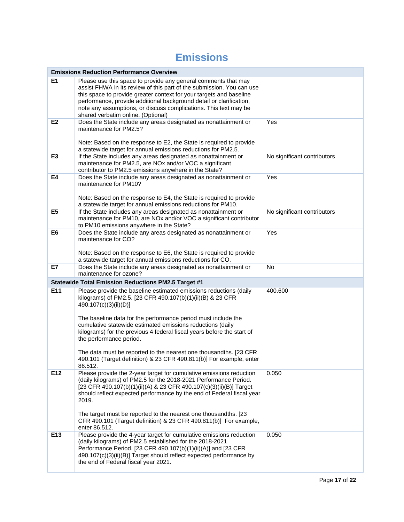## **Emissions**

|                                                            | <b>Emissions Reduction Performance Overview</b>                                                                                                                                                                                                                                                                                                                                                                                                                                                                                                     |                             |  |  |
|------------------------------------------------------------|-----------------------------------------------------------------------------------------------------------------------------------------------------------------------------------------------------------------------------------------------------------------------------------------------------------------------------------------------------------------------------------------------------------------------------------------------------------------------------------------------------------------------------------------------------|-----------------------------|--|--|
| E1                                                         | Please use this space to provide any general comments that may<br>assist FHWA in its review of this part of the submission. You can use<br>this space to provide greater context for your targets and baseline<br>performance, provide additional background detail or clarification,<br>note any assumptions, or discuss complications. This text may be<br>shared verbatim online. (Optional)                                                                                                                                                     |                             |  |  |
| E <sub>2</sub>                                             | Does the State include any areas designated as nonattainment or<br>maintenance for PM2.5?<br>Note: Based on the response to E2, the State is required to provide<br>a statewide target for annual emissions reductions for PM2.5.                                                                                                                                                                                                                                                                                                                   | Yes                         |  |  |
| E <sub>3</sub>                                             | If the State includes any areas designated as nonattainment or<br>maintenance for PM2.5, are NOx and/or VOC a significant<br>contributor to PM2.5 emissions anywhere in the State?                                                                                                                                                                                                                                                                                                                                                                  | No significant contributors |  |  |
| E4                                                         | Does the State include any areas designated as nonattainment or<br>maintenance for PM10?<br>Note: Based on the response to E4, the State is required to provide<br>a statewide target for annual emissions reductions for PM10.                                                                                                                                                                                                                                                                                                                     | Yes                         |  |  |
| E <sub>5</sub>                                             | If the State includes any areas designated as nonattainment or<br>maintenance for PM10, are NOx and/or VOC a significant contributor<br>to PM10 emissions anywhere in the State?                                                                                                                                                                                                                                                                                                                                                                    | No significant contributors |  |  |
| E <sub>6</sub>                                             | Does the State include any areas designated as nonattainment or<br>maintenance for CO?<br>Note: Based on the response to E6, the State is required to provide<br>a statewide target for annual emissions reductions for CO.                                                                                                                                                                                                                                                                                                                         | Yes                         |  |  |
| E7                                                         | Does the State include any areas designated as nonattainment or<br>maintenance for ozone?                                                                                                                                                                                                                                                                                                                                                                                                                                                           | No                          |  |  |
| <b>Statewide Total Emission Reductions PM2.5 Target #1</b> |                                                                                                                                                                                                                                                                                                                                                                                                                                                                                                                                                     |                             |  |  |
| E11                                                        | Please provide the baseline estimated emissions reductions (daily<br>kilograms) of PM2.5. [23 CFR 490.107(b)(1)(ii)(B) & 23 CFR<br>490.107(c)(3)(ii)(D)]<br>The baseline data for the performance period must include the<br>cumulative statewide estimated emissions reductions (daily<br>kilograms) for the previous 4 federal fiscal years before the start of<br>the performance period.<br>The data must be reported to the nearest one thousandths. [23 CFR<br>490.101 (Target definition) & 23 CFR 490.811(b)] For example, enter<br>86.512. | 400.600                     |  |  |
| E12                                                        | Please provide the 2-year target for cumulative emissions reduction<br>(daily kilograms) of PM2.5 for the 2018-2021 Performance Period.<br>[23 CFR 490.107(b)(1)(ii)(A) & 23 CFR 490.107(c)(3)(ii)(B)] Target<br>should reflect expected performance by the end of Federal fiscal year<br>2019.<br>The target must be reported to the nearest one thousandths. [23<br>CFR 490.101 (Target definition) & 23 CFR 490.811(b)] For example,<br>enter 86.512.                                                                                            | 0.050                       |  |  |
| E13                                                        | Please provide the 4-year target for cumulative emissions reduction<br>(daily kilograms) of PM2.5 established for the 2018-2021<br>Performance Period. [23 CFR 490.107(b)(1)(ii)(A)] and [23 CFR<br>490.107(c)(3)(ii)(B)] Target should reflect expected performance by<br>the end of Federal fiscal year 2021.                                                                                                                                                                                                                                     | 0.050                       |  |  |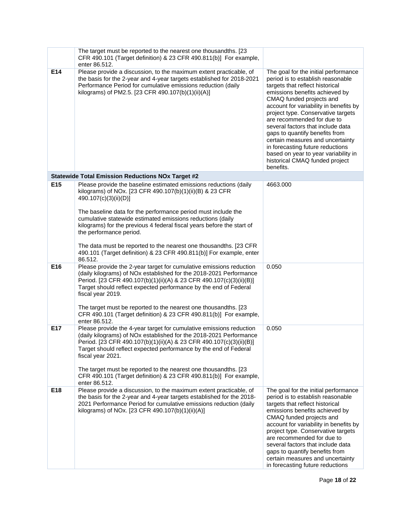|     | The target must be reported to the nearest one thousandths. [23]<br>CFR 490.101 (Target definition) & 23 CFR 490.811(b)] For example,<br>enter 86.512.                                                                                                                                                                                                                                                                                                                                                                                                                                                                                                                                                                                                                                              |                                                                                                                                                                                                                                                                                                                                                                                                                                         |
|-----|-----------------------------------------------------------------------------------------------------------------------------------------------------------------------------------------------------------------------------------------------------------------------------------------------------------------------------------------------------------------------------------------------------------------------------------------------------------------------------------------------------------------------------------------------------------------------------------------------------------------------------------------------------------------------------------------------------------------------------------------------------------------------------------------------------|-----------------------------------------------------------------------------------------------------------------------------------------------------------------------------------------------------------------------------------------------------------------------------------------------------------------------------------------------------------------------------------------------------------------------------------------|
| E14 | Please provide a discussion, to the maximum extent practicable, of<br>The goal for the initial performance<br>the basis for the 2-year and 4-year targets established for 2018-2021<br>period is to establish reasonable<br>Performance Period for cumulative emissions reduction (daily<br>targets that reflect historical<br>kilograms) of PM2.5. [23 CFR 490.107(b)(1)(ii)(A)]<br>emissions benefits achieved by<br>CMAQ funded projects and<br>account for variability in benefits by<br>project type. Conservative targets<br>are recommended for due to<br>several factors that include data<br>gaps to quantify benefits from<br>certain measures and uncertainty<br>in forecasting future reductions<br>based on year to year variability in<br>historical CMAQ funded project<br>benefits. |                                                                                                                                                                                                                                                                                                                                                                                                                                         |
|     | <b>Statewide Total Emission Reductions NOx Target #2</b>                                                                                                                                                                                                                                                                                                                                                                                                                                                                                                                                                                                                                                                                                                                                            |                                                                                                                                                                                                                                                                                                                                                                                                                                         |
| E15 | Please provide the baseline estimated emissions reductions (daily<br>kilograms) of NOx. [23 CFR 490.107(b)(1)(ii)(B) & 23 CFR<br>490.107(c)(3)(ii)(D)]<br>The baseline data for the performance period must include the<br>cumulative statewide estimated emissions reductions (daily<br>kilograms) for the previous 4 federal fiscal years before the start of<br>the performance period.<br>The data must be reported to the nearest one thousandths. [23 CFR<br>490.101 (Target definition) & 23 CFR 490.811(b)] For example, enter<br>86.512.                                                                                                                                                                                                                                                   | 4663.000                                                                                                                                                                                                                                                                                                                                                                                                                                |
| E16 | Please provide the 2-year target for cumulative emissions reduction<br>(daily kilograms) of NOx established for the 2018-2021 Performance<br>Period. [23 CFR 490.107(b)(1)(ii)(A) & 23 CFR 490.107(c)(3)(ii)(B)]<br>Target should reflect expected performance by the end of Federal<br>fiscal year 2019.<br>The target must be reported to the nearest one thousandths. [23<br>CFR 490.101 (Target definition) & 23 CFR 490.811(b)] For example,<br>enter 86.512.                                                                                                                                                                                                                                                                                                                                  | 0.050                                                                                                                                                                                                                                                                                                                                                                                                                                   |
| E17 | Please provide the 4-year target for cumulative emissions reduction<br>(daily kilograms) of NOx established for the 2018-2021 Performance<br>Period. [23 CFR 490.107(b)(1)(ii)(A) & 23 CFR 490.107(c)(3)(ii)(B)]<br>Target should reflect expected performance by the end of Federal<br>fiscal year 2021.<br>The target must be reported to the nearest one thousandths. [23<br>CFR 490.101 (Target definition) & 23 CFR 490.811(b)] For example,<br>enter 86.512.                                                                                                                                                                                                                                                                                                                                  | 0.050                                                                                                                                                                                                                                                                                                                                                                                                                                   |
| E18 | Please provide a discussion, to the maximum extent practicable, of<br>the basis for the 2-year and 4-year targets established for the 2018-<br>2021 Performance Period for cumulative emissions reduction (daily<br>kilograms) of NOx. [23 CFR 490.107(b)(1)(ii)(A)]                                                                                                                                                                                                                                                                                                                                                                                                                                                                                                                                | The goal for the initial performance<br>period is to establish reasonable<br>targets that reflect historical<br>emissions benefits achieved by<br>CMAQ funded projects and<br>account for variability in benefits by<br>project type. Conservative targets<br>are recommended for due to<br>several factors that include data<br>gaps to quantify benefits from<br>certain measures and uncertainty<br>in forecasting future reductions |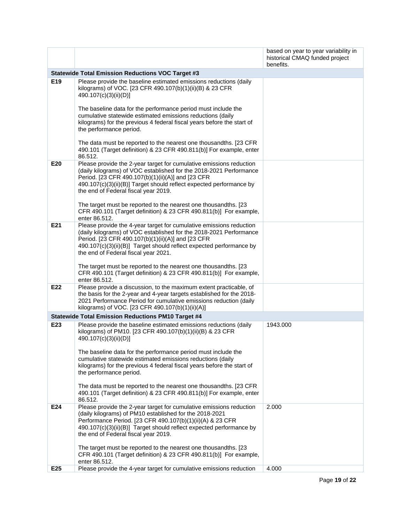|     |                                                                                                                                                                                                                                                                                                               | based on year to year variability in<br>historical CMAQ funded project<br>benefits. |  |
|-----|---------------------------------------------------------------------------------------------------------------------------------------------------------------------------------------------------------------------------------------------------------------------------------------------------------------|-------------------------------------------------------------------------------------|--|
|     | <b>Statewide Total Emission Reductions VOC Target #3</b>                                                                                                                                                                                                                                                      |                                                                                     |  |
| E19 | Please provide the baseline estimated emissions reductions (daily<br>kilograms) of VOC. [23 CFR 490.107(b)(1)(ii)(B) & 23 CFR<br>490.107(c)(3)(ii)(D)]                                                                                                                                                        |                                                                                     |  |
|     | The baseline data for the performance period must include the<br>cumulative statewide estimated emissions reductions (daily<br>kilograms) for the previous 4 federal fiscal years before the start of<br>the performance period.                                                                              |                                                                                     |  |
|     | The data must be reported to the nearest one thousandths. [23 CFR]<br>490.101 (Target definition) & 23 CFR 490.811(b)] For example, enter<br>86.512.                                                                                                                                                          |                                                                                     |  |
| E20 | Please provide the 2-year target for cumulative emissions reduction<br>(daily kilograms) of VOC established for the 2018-2021 Performance<br>Period. [23 CFR 490.107(b)(1)(ii)(A)] and [23 CFR<br>490.107(c)(3)(ii)(B)] Target should reflect expected performance by<br>the end of Federal fiscal year 2019. |                                                                                     |  |
|     | The target must be reported to the nearest one thousandths. [23<br>CFR 490.101 (Target definition) & 23 CFR 490.811(b)] For example,<br>enter 86.512.                                                                                                                                                         |                                                                                     |  |
| E21 | Please provide the 4-year target for cumulative emissions reduction<br>(daily kilograms) of VOC established for the 2018-2021 Performance<br>Period. [23 CFR 490.107(b)(1)(ii)(A)] and [23 CFR<br>490.107(c)(3)(ii)(B)] Target should reflect expected performance by<br>the end of Federal fiscal year 2021. |                                                                                     |  |
|     | The target must be reported to the nearest one thousandths. [23<br>CFR 490.101 (Target definition) & 23 CFR 490.811(b)] For example,<br>enter 86.512.                                                                                                                                                         |                                                                                     |  |
| E22 | Please provide a discussion, to the maximum extent practicable, of<br>the basis for the 2-year and 4-year targets established for the 2018-<br>2021 Performance Period for cumulative emissions reduction (daily<br>kilograms) of VOC. [23 CFR 490.107(b)(1)(ii)(A)]                                          |                                                                                     |  |
|     | <b>Statewide Total Emission Reductions PM10 Target #4</b>                                                                                                                                                                                                                                                     |                                                                                     |  |
| E23 | Please provide the baseline estimated emissions reductions (daily<br>kilograms) of PM10. [23 CFR 490.107(b)(1)(ii)(B) & 23 CFR<br>490.107(c)(3)(ii)(D)]                                                                                                                                                       | 1943.000                                                                            |  |
|     | The baseline data for the performance period must include the<br>cumulative statewide estimated emissions reductions (daily<br>kilograms) for the previous 4 federal fiscal years before the start of<br>the performance period.                                                                              |                                                                                     |  |
|     | The data must be reported to the nearest one thousandths. [23 CFR]<br>490.101 (Target definition) & 23 CFR 490.811(b)] For example, enter<br>86.512.                                                                                                                                                          |                                                                                     |  |
| E24 | Please provide the 2-year target for cumulative emissions reduction<br>(daily kilograms) of PM10 established for the 2018-2021<br>Performance Period. [23 CFR 490.107(b)(1)(ii)(A) & 23 CFR<br>490.107(c)(3)(ii)(B)] Target should reflect expected performance by<br>the end of Federal fiscal year 2019.    | 2.000                                                                               |  |
|     | The target must be reported to the nearest one thousandths. [23<br>CFR 490.101 (Target definition) & 23 CFR 490.811(b)] For example,<br>enter 86.512.                                                                                                                                                         |                                                                                     |  |
| E25 | Please provide the 4-year target for cumulative emissions reduction                                                                                                                                                                                                                                           | 4.000                                                                               |  |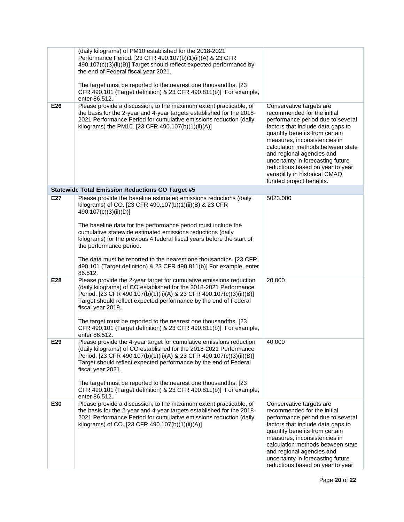| E26 | (daily kilograms) of PM10 established for the 2018-2021<br>Performance Period. [23 CFR 490.107(b)(1)(ii)(A) & 23 CFR<br>490.107(c)(3)(ii)(B)] Target should reflect expected performance by<br>the end of Federal fiscal year 2021.<br>The target must be reported to the nearest one thousandths. [23<br>CFR 490.101 (Target definition) & 23 CFR 490.811(b)] For example,<br>enter 86.512.<br>Please provide a discussion, to the maximum extent practicable, of | Conservative targets are                                                                                                                                                                                                                                                                                                                                                         |
|-----|--------------------------------------------------------------------------------------------------------------------------------------------------------------------------------------------------------------------------------------------------------------------------------------------------------------------------------------------------------------------------------------------------------------------------------------------------------------------|----------------------------------------------------------------------------------------------------------------------------------------------------------------------------------------------------------------------------------------------------------------------------------------------------------------------------------------------------------------------------------|
|     | the basis for the 2-year and 4-year targets established for the 2018-<br>2021 Performance Period for cumulative emissions reduction (daily<br>kilograms) the PM10. [23 CFR 490.107(b)(1)(ii)(A)]                                                                                                                                                                                                                                                                   | recommended for the initial<br>performance period due to several<br>factors that include data gaps to<br>quantify benefits from certain<br>measures, inconsistencies in<br>calculation methods between state<br>and regional agencies and<br>uncertainty in forecasting future<br>reductions based on year to year<br>variability in historical CMAQ<br>funded project benefits. |
|     | <b>Statewide Total Emission Reductions CO Target #5</b>                                                                                                                                                                                                                                                                                                                                                                                                            |                                                                                                                                                                                                                                                                                                                                                                                  |
| E27 | Please provide the baseline estimated emissions reductions (daily<br>kilograms) of CO. [23 CFR 490.107(b)(1)(ii)(B) & 23 CFR<br>490.107(c)(3)(ii)(D)]<br>The baseline data for the performance period must include the<br>cumulative statewide estimated emissions reductions (daily<br>kilograms) for the previous 4 federal fiscal years before the start of<br>the performance period.                                                                          | 5023.000                                                                                                                                                                                                                                                                                                                                                                         |
|     | The data must be reported to the nearest one thousandths. [23 CFR<br>490.101 (Target definition) & 23 CFR 490.811(b)] For example, enter<br>86.512.                                                                                                                                                                                                                                                                                                                |                                                                                                                                                                                                                                                                                                                                                                                  |
| E28 | Please provide the 2-year target for cumulative emissions reduction<br>(daily kilograms) of CO established for the 2018-2021 Performance<br>Period. [23 CFR 490.107(b)(1)(ii)(A) & 23 CFR 490.107(c)(3)(ii)(B)]<br>Target should reflect expected performance by the end of Federal<br>fiscal year 2019.<br>The target must be reported to the nearest one thousandths. [23                                                                                        | 20.000                                                                                                                                                                                                                                                                                                                                                                           |
|     | CFR 490.101 (Target definition) & 23 CFR 490.811(b)] For example,<br>enter 86.512.                                                                                                                                                                                                                                                                                                                                                                                 |                                                                                                                                                                                                                                                                                                                                                                                  |
| E29 | Please provide the 4-year target for cumulative emissions reduction<br>(daily kilograms) of CO established for the 2018-2021 Performance<br>Period. [23 CFR 490.107(b)(1)(ii)(A) & 23 CFR 490.107(c)(3)(ii)(B)]<br>Target should reflect expected performance by the end of Federal<br>fiscal year 2021.<br>The target must be reported to the nearest one thousandths. [23<br>CFR 490.101 (Target definition) & 23 CFR 490.811(b)] For example,                   | 40.000                                                                                                                                                                                                                                                                                                                                                                           |
| E30 | enter 86.512.<br>Please provide a discussion, to the maximum extent practicable, of<br>the basis for the 2-year and 4-year targets established for the 2018-<br>2021 Performance Period for cumulative emissions reduction (daily<br>kilograms) of CO. [23 CFR 490.107(b)(1)(ii)(A)]                                                                                                                                                                               | Conservative targets are<br>recommended for the initial<br>performance period due to several<br>factors that include data gaps to<br>quantify benefits from certain<br>measures, inconsistencies in<br>calculation methods between state<br>and regional agencies and<br>uncertainty in forecasting future<br>reductions based on year to year                                   |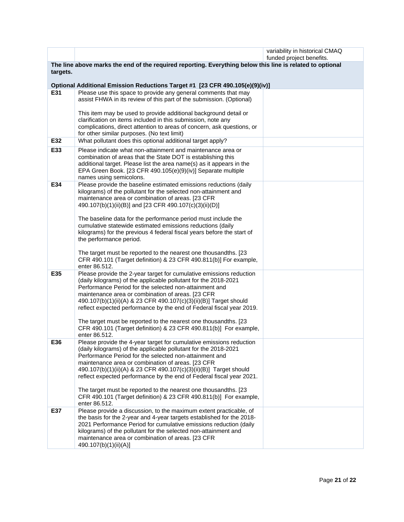|          |                                                                                                                                            | variability in historical CMAQ<br>funded project benefits. |
|----------|--------------------------------------------------------------------------------------------------------------------------------------------|------------------------------------------------------------|
|          | The line above marks the end of the required reporting. Everything below this line is related to optional                                  |                                                            |
| targets. |                                                                                                                                            |                                                            |
|          | Optional Additional Emission Reductions Target #1 [23 CFR 490.105(e)(9)(iv)]                                                               |                                                            |
| E31      | Please use this space to provide any general comments that may                                                                             |                                                            |
|          | assist FHWA in its review of this part of the submission. (Optional)                                                                       |                                                            |
|          | This item may be used to provide additional background detail or                                                                           |                                                            |
|          | clarification on items included in this submission, note any                                                                               |                                                            |
|          | complications, direct attention to areas of concern, ask questions, or<br>for other similar purposes. (No text limit)                      |                                                            |
| E32      | What pollutant does this optional additional target apply?                                                                                 |                                                            |
| E33      | Please indicate what non-attainment and maintenance area or                                                                                |                                                            |
|          | combination of areas that the State DOT is establishing this                                                                               |                                                            |
|          | additional target. Please list the area name(s) as it appears in the<br>EPA Green Book. [23 CFR 490.105(e)(9)(iv)] Separate multiple       |                                                            |
|          | names using semicolons.                                                                                                                    |                                                            |
| E34      | Please provide the baseline estimated emissions reductions (daily                                                                          |                                                            |
|          | kilograms) of the pollutant for the selected non-attainment and<br>maintenance area or combination of areas. [23 CFR                       |                                                            |
|          | 490.107(b)(1)(ii)(B)] and [23 CFR 490.107(c)(3)(ii)(D)]                                                                                    |                                                            |
|          |                                                                                                                                            |                                                            |
|          | The baseline data for the performance period must include the<br>cumulative statewide estimated emissions reductions (daily                |                                                            |
|          | kilograms) for the previous 4 federal fiscal years before the start of                                                                     |                                                            |
|          | the performance period.                                                                                                                    |                                                            |
|          | The target must be reported to the nearest one thousandths. [23                                                                            |                                                            |
|          | CFR 490.101 (Target definition) & 23 CFR 490.811(b)] For example,                                                                          |                                                            |
| E35      | enter 86.512.<br>Please provide the 2-year target for cumulative emissions reduction                                                       |                                                            |
|          | (daily kilograms) of the applicable pollutant for the 2018-2021                                                                            |                                                            |
|          | Performance Period for the selected non-attainment and<br>maintenance area or combination of areas. [23 CFR                                |                                                            |
|          | 490.107(b)(1)(ii)(A) & 23 CFR 490.107(c)(3)(ii)(B)] Target should                                                                          |                                                            |
|          | reflect expected performance by the end of Federal fiscal year 2019.                                                                       |                                                            |
|          | The target must be reported to the nearest one thousandths. [23                                                                            |                                                            |
|          | CFR 490.101 (Target definition) & 23 CFR 490.811(b)] For example,                                                                          |                                                            |
|          | enter 86.512.                                                                                                                              |                                                            |
| E36      | Please provide the 4-year target for cumulative emissions reduction<br>(daily kilograms) of the applicable pollutant for the 2018-2021     |                                                            |
|          | Performance Period for the selected non-attainment and                                                                                     |                                                            |
|          | maintenance area or combination of areas. [23 CFR<br>490.107(b)(1)(ii)(A) & 23 CFR 490.107(c)(3)(ii)(B)] Target should                     |                                                            |
|          | reflect expected performance by the end of Federal fiscal year 2021.                                                                       |                                                            |
|          |                                                                                                                                            |                                                            |
|          | The target must be reported to the nearest one thousandths. [23<br>CFR 490.101 (Target definition) & 23 CFR 490.811(b)] For example,       |                                                            |
|          | enter 86.512.                                                                                                                              |                                                            |
| E37      | Please provide a discussion, to the maximum extent practicable, of                                                                         |                                                            |
|          | the basis for the 2-year and 4-year targets established for the 2018-<br>2021 Performance Period for cumulative emissions reduction (daily |                                                            |
|          | kilograms) of the pollutant for the selected non-attainment and                                                                            |                                                            |
|          | maintenance area or combination of areas. [23 CFR<br>490.107(b)(1)(ii)(A)]                                                                 |                                                            |
|          |                                                                                                                                            |                                                            |